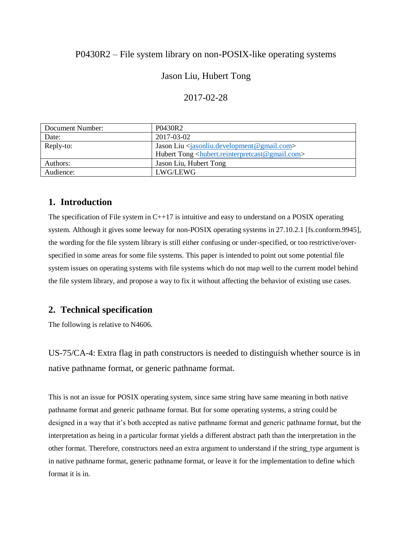# P0430R2 – File system library on non-POSIX-like operating systems

# Jason Liu, Hubert Tong

#### 2017-02-28

| Document Number: | P0430R2                                                      |
|------------------|--------------------------------------------------------------|
| Date:            | 2017-03-02                                                   |
| Reply-to:        | Jason Liu $\langle$ jasonliu.development@gmail.com>          |
|                  | Hubert Tong <http: www.reinterpretcast@gmail.com=""></http:> |
| Authors:         | Jason Liu, Hubert Tong                                       |
| Audience:        | LWG/LEWG                                                     |

## **1. Introduction**

The specification of File system in  $C_{++17}$  is intuitive and easy to understand on a POSIX operating system. Although it gives some leeway for non-POSIX operating systems in 27.10.2.1 [fs.conform.9945], the wording for the file system library is still either confusing or under-specified, or too restrictive/overspecified in some areas for some file systems. This paper is intended to point out some potential file system issues on operating systems with file systems which do not map well to the current model behind the file system library, and propose a way to fix it without affecting the behavior of existing use cases.

### **2. Technical specification**

The following is relative to N4606.

US-75/CA-4: Extra flag in path constructors is needed to distinguish whether source is in native pathname format, or generic pathname format.

This is not an issue for POSIX operating system, since same string have same meaning in both native pathname format and generic pathname format. But for some operating systems, a string could be designed in a way that it's both accepted as native pathname format and generic pathname format, but the interpretation as being in a particular format yields a different abstract path than the interpretation in the other format. Therefore, constructors need an extra argument to understand if the string\_type argument is in native pathname format, generic pathname format, or leave it for the implementation to define which format it is in.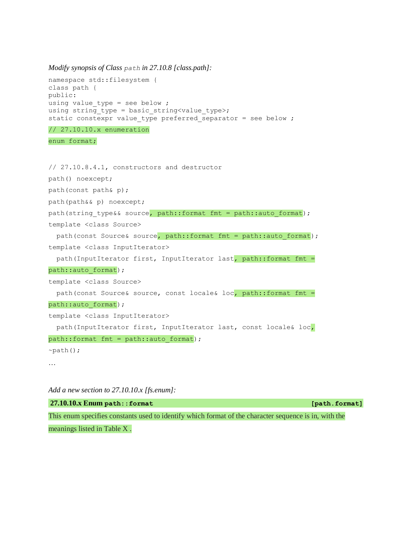*Modify synopsis of Class path in 27.10.8 [class.path]:*

```
namespace std::filesystem {
class path {
public:
using value_type = see below ;
using string type = basic string<value type>;
static constexpr value type preferred separator = see below ;
// 27.10.10.x enumeration
enum format;
// 27.10.8.4.1, constructors and destructor
path() noexcept;
path(const path& p);
path(path&& p) noexcept;
path(string type&& source, path::format fmt = path::auto format);
template <class Source>
  path(const Source& source, path::format fmt = path::auto format);
template <class InputIterator>
   path(InputIterator first, InputIterator last, path::format fmt = 
path::auto format);
template <class Source>
  path(const Source& source, const locale& loc, path::format fmt =
path::auto format);
template <class InputIterator>
   path(InputIterator first, InputIterator last, const locale& loc, 
path::format fmt = path::auto format);
~\simpath();
…
```

```
27.10.10.x Enum path::format [path.format]
This enum specifies constants used to identify which format of the character sequence is in, with the
```
meanings listed in Table X .

*Add a new section to 27.10.10.x [fs.enum]:*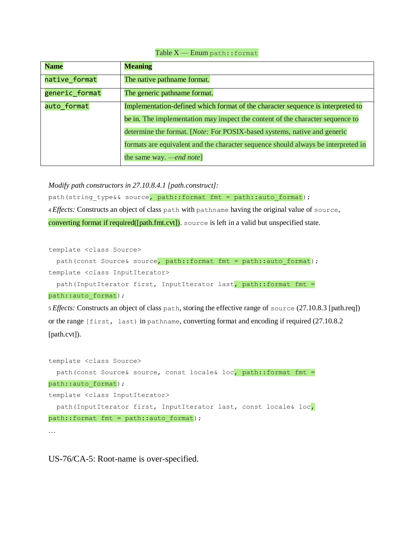#### Table X — Enum path::format

| <b>Name</b>    | <b>Meaning</b>                                                                    |
|----------------|-----------------------------------------------------------------------------------|
| native_format  | The native pathname format.                                                       |
| generic format | The generic pathname format.                                                      |
| auto_format    | Implementation-defined which format of the character sequence is interpreted to   |
|                | be in. The implementation may inspect the content of the character sequence to    |
|                | determine the format. [Note: For POSIX-based systems, native and generic          |
|                | formats are equivalent and the character sequence should always be interpreted in |
|                | the same way. — <i>end note</i> ]                                                 |

*Modify path constructors in 27.10.8.4.1 [path.construct]:*

path(string type&& source, path::format fmt = path::auto format); 4 *Effects:* Constructs an object of class path with pathname having the original value of source, converting format if required([path.fmt.cvt]). source is left in a valid but unspecified state.

template <class Source>

```
path(const Source& source, path::format fmt = path::auto format);
template <class InputIterator>
   path(InputIterator first, InputIterator last, path::format fmt =
```
path::auto format);

5 *Effects:* Constructs an object of class path, storing the effective range of source (27.10.8.3 [path.req]) or the range [first, last) in pathname, converting format and encoding if required (27.10.8.2 [path.cvt]).

```
template <class Source>
   path(const Source& source, const locale& loc, path::format fmt = 
path::auto format);
template <class InputIterator>
  path(InputIterator first, InputIterator last, const locale& loc, 
path::format fmt = path::auto format);
…
```
US-76/CA-5: Root-name is over-specified.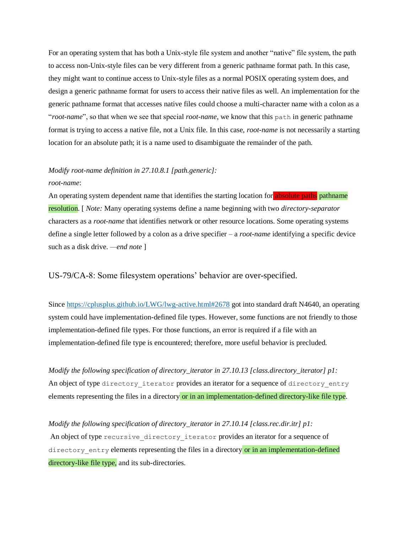For an operating system that has both a Unix-style file system and another "native" file system, the path to access non-Unix-style files can be very different from a generic pathname format path. In this case, they might want to continue access to Unix-style files as a normal POSIX operating system does, and design a generic pathname format for users to access their native files as well. An implementation for the generic pathname format that accesses native files could choose a multi-character name with a colon as a "*root-name*", so that when we see that special *root-name*, we know that this path in generic pathname format is trying to access a native file, not a Unix file. In this case, *root-name* is not necessarily a starting location for an absolute path; it is a name used to disambiguate the remainder of the path.

### *Modify root-name definition in 27.10.8.1 [path.generic]: root-name*:

An operating system dependent name that identifies the starting location for absolute paths pathname resolution. [ *Note:* Many operating systems define a name beginning with two *directory-separator* characters as a *root-name* that identifies network or other resource locations. Some operating systems define a single letter followed by a colon as a drive specifier – a *root-name* identifying a specific device such as a disk drive. *—end note* ]

US-79/CA-8: Some filesystem operations' behavior are over-specified.

Since<https://cplusplus.github.io/LWG/lwg-active.html#2678> got into standard draft N4640, an operating system could have implementation-defined file types. However, some functions are not friendly to those implementation-defined file types. For those functions, an error is required if a file with an implementation-defined file type is encountered; therefore, more useful behavior is precluded.

*Modify the following specification of directory\_iterator in 27.10.13 [class.directory\_iterator] p1:* An object of type directory iterator provides an iterator for a sequence of directory entry elements representing the files in a directory or in an implementation-defined directory-like file type.

*Modify the following specification of directory\_iterator in 27.10.14 [class.rec.dir.itr] p1:* An object of type recursive directory iterator provides an iterator for a sequence of directory entry elements representing the files in a directory or in an implementation-defined directory-like file type, and its sub-directories.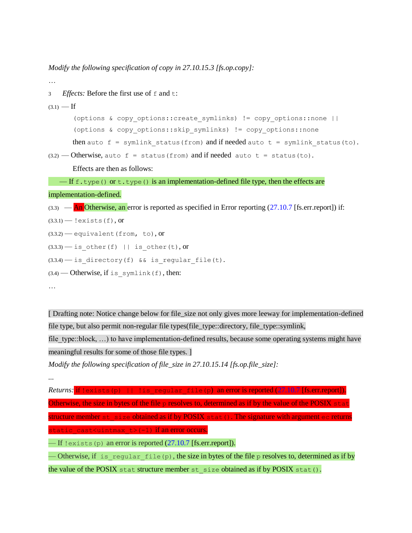*Modify the following specification of copy in 27.10.15.3 [fs.op.copy]:*

```
…
3 Effects: Before the first use of f and t:
(3.1) — If
       (options & copy_options::create_symlinks) != copy_options::none ||
       (options & copy_options::skip_symlinks) != copy_options::none
       then auto f = symlink status(from) and if needed auto t = symlink status(to).
(3.2) — Otherwise, auto f = status(from) and if needed auto t = status(to).
       Effects are then as follows:
   — If f.type() or t.type() is an implementation-defined file type, then the effects are
implementation-defined. 
(3.3) — An Otherwise, an error is reported as specified in Error reporting (27.10.7 [fs.err.report]) if:
(3.3.1) - !exists(f), or
(3.3.2) - equivalent (from, to), or
(3.3.3) - is other(f) || is other(t), or
(3.3.4) - is directory(f) && is regular file(t).
(3.4) — Otherwise, if is symlink(f), then:
…
```
[ Drafting note: Notice change below for file\_size not only gives more leeway for implementation-defined file type, but also permit non-regular file types(file\_type::directory, file\_type::symlink,

file type::block, ...) to have implementation-defined results, because some operating systems might have meaningful results for some of those file types. ]

```
Modify the following specification of file_size in 27.10.15.14 [fs.op.file_size]:
```

```
...
```
*Returns:* if !exists(p) || !is regular file(p) an error is reported (27.10.7 [fs.err.report]). Otherwise, the size in bytes of the file  $p$  resolves to, determined as if by the value of the POSIX state structure member st size obtained as if by POSIX stat(). The signature with argument ec returns static\_cast<uintmax\_t>(-1) if an error occurs.  $\text{I}$  = If !exists(p) an error is reported (27.10.7 [fs.err.report]).

— Otherwise, if is regular file(p), the size in bytes of the file p resolves to, determined as if by the value of the POSIX stat structure member st\_size obtained as if by POSIX stat().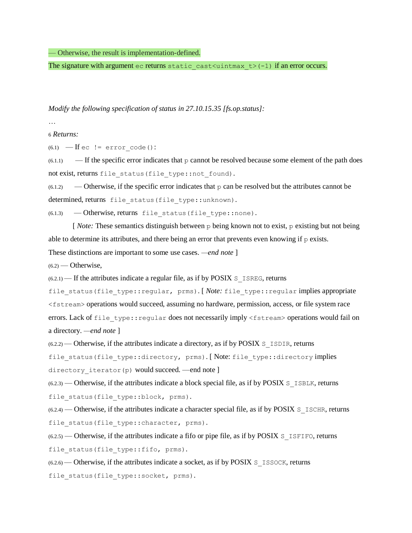— Otherwise, the result is implementation-defined.

The signature with argument ec returns static cast  $\leq$ uintmax t>(-1) if an error occurs.

*Modify the following specification of status in 27.10.15.35 [fs.op.status]:*

6 *Returns:*

(6.1)  $\text{If }$ ec  $!=$  error code():

 $(6.1.1)$  — If the specific error indicates that p cannot be resolved because some element of the path does not exist, returns file status (file type::not found).

 $(6.1.2)$  — Otherwise, if the specific error indicates that p can be resolved but the attributes cannot be determined, returns file status(file type::unknown).

 $(6.1.3)$  - Otherwise, returns file status (file type::none).

[*Note:* These semantics distinguish between p being known not to exist, p existing but not being able to determine its attributes, and there being an error that prevents even knowing if  $p$  exists.

These distinctions are important to some use cases. *—end note* ]

 $(6.2)$  — Otherwise.

 $(6.2.1)$  — If the attributes indicate a regular file, as if by POSIX S ISREG, returns

file status(file type::regular, prms). [*Note:* file type::regular implies appropriate <fstream> operations would succeed, assuming no hardware, permission, access, or file system race errors. Lack of file type::regular does not necessarily imply <fstream> operations would fail on a directory. *—end note* ]

 $(6.2.2)$  — Otherwise, if the attributes indicate a directory, as if by POSIX S\_ISDIR, returns

file status(file type::directory, prms). [Note: file type::directory implies directory iterator(p) would succeed. —end note ]

 $(6.2.3)$  — Otherwise, if the attributes indicate a block special file, as if by POSIX S ISBLK, returns file status(file type::block, prms).

 $(6.2.4)$  — Otherwise, if the attributes indicate a character special file, as if by POSIX S\_ISCHR, returns file status(file type:: character, prms).

 $(6.2.5)$  — Otherwise, if the attributes indicate a fifo or pipe file, as if by POSIX S\_ISFIFO, returns file status(file type::fifo, prms).

(6.2.6) — Otherwise, if the attributes indicate a socket, as if by POSIX S\_ISSOCK, returns

file status(file type::socket, prms).